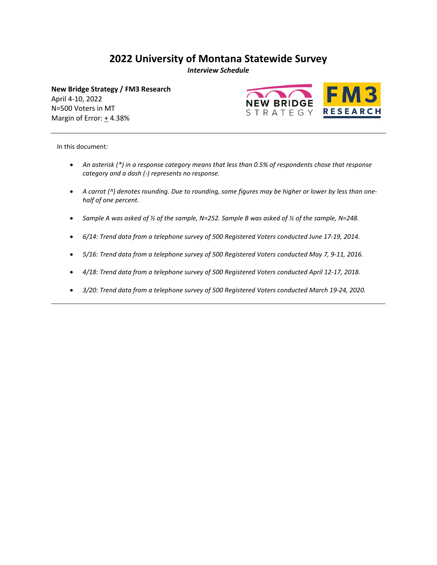# **2022 University of Montana Statewide Survey**

*Interview Schedule* 

**New Bridge Strategy / FM3 Research** April 4-10, 2022 N=500 Voters in MT Margin of Error: + 4.38%



In this document:

- *An asterisk (\*) in a response category means that less than 0.5% of respondents chose that response category and a dash (‐) represents no response.*
- *A carrot (^) denotes rounding. Due to rounding, some figures may be higher or lower by less than one‐ half of one percent.*
- *Sample A was asked of ½ of the sample, N=252. Sample B was asked of ½ of the sample, N=248.*
- *6/14: Trend data from a telephone survey of 500 Registered Voters conducted June 17-19, 2014.*
- *5/16: Trend data from a telephone survey of 500 Registered Voters conducted May 7, 9-11, 2016.*
- *4/18: Trend data from a telephone survey of 500 Registered Voters conducted April 12-17, 2018.*
- *3/20: Trend data from a telephone survey of 500 Registered Voters conducted March 19-24, 2020.*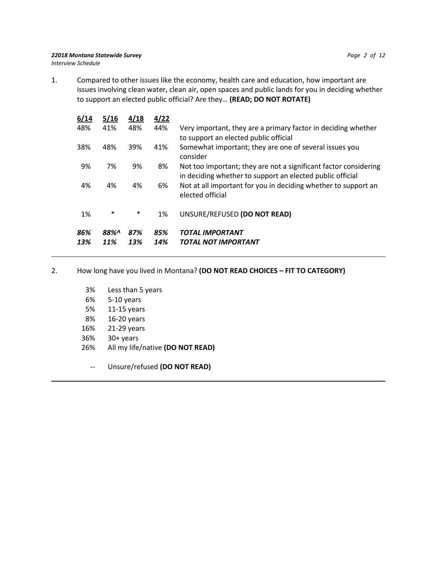#### *22018 Montana Statewide Survey Page 2 of 12 Interview Schedule*

1. Compared to other issues like the economy, health care and education, how important are issues involving clean water, clean air, open spaces and public lands for you in deciding whether to support an elected public official? Are they… **(READ; DO NOT ROTATE)**

| 6/14       | 5/16        | 4/18       | 4/22       |                                                                                                                               |
|------------|-------------|------------|------------|-------------------------------------------------------------------------------------------------------------------------------|
| 48%        | 41%         | 48%        | 44%        | Very important, they are a primary factor in deciding whether<br>to support an elected public official                        |
| 38%        | 48%         | 39%        | 41%        | Somewhat important; they are one of several issues you<br>consider                                                            |
| 9%         | 7%          | 9%         | 8%         | Not too important; they are not a significant factor considering<br>in deciding whether to support an elected public official |
| 4%         | 4%          | 4%         | 6%         | Not at all important for you in deciding whether to support an<br>elected official                                            |
| 1%         | $\ast$      | $\ast$     | 1%         | UNSURE/REFUSED (DO NOT READ)                                                                                                  |
| 86%<br>13% | 88%^<br>11% | 87%<br>13% | 85%<br>14% | <b>TOTAL IMPORTANT</b><br>TOTAL NOT IMPORTANT                                                                                 |

# 2. How long have you lived in Montana? **(DO NOT READ CHOICES – FIT TO CATEGORY)**

- 3% Less than 5 years
- 6% 5-10 years
- 5% 11-15 years
- 8% 16-20 years
- 16% 21-29 years
- 36% 30+ years
- 26% All my life/native **(DO NOT READ)**
	- -- Unsure/refused **(DO NOT READ)**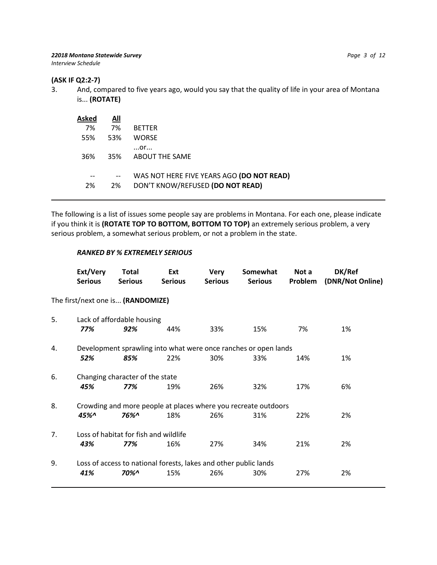## **(ASK IF Q2:2-7)**

3. And, compared to five years ago, would you say that the quality of life in your area of Montana is... **(ROTATE)**

| Asked | All |                                                                               |
|-------|-----|-------------------------------------------------------------------------------|
| 7%    | 7%  | <b>BETTER</b>                                                                 |
| 55%   | 53% | <b>WORSE</b>                                                                  |
| 36%   | 35% | $$ Or $$<br>ABOUT THE SAME                                                    |
| 2%    | 2%  | WAS NOT HERE FIVE YEARS AGO (DO NOT READ)<br>DON'T KNOW/REFUSED (DO NOT READ) |

The following is a list of issues some people say are problems in Montana. For each one, please indicate if you think it is **(ROTATE TOP TO BOTTOM, BOTTOM TO TOP)** an extremely serious problem, a very serious problem, a somewhat serious problem, or not a problem in the state.

## *RANKED BY % EXTREMELY SERIOUS*

|    | Ext/Very<br><b>Serious</b>                                       | <b>Total</b><br><b>Serious</b>        | Ext<br><b>Serious</b> | <b>Very</b><br><b>Serious</b> | Somewhat<br><b>Serious</b>                                      | Not a<br>Problem | DK/Ref<br>(DNR/Not Online) |  |  |  |
|----|------------------------------------------------------------------|---------------------------------------|-----------------------|-------------------------------|-----------------------------------------------------------------|------------------|----------------------------|--|--|--|
|    | The first/next one is (RANDOMIZE)                                |                                       |                       |                               |                                                                 |                  |                            |  |  |  |
| 5. | Lack of affordable housing                                       |                                       |                       |                               |                                                                 |                  |                            |  |  |  |
|    | 77%                                                              | 92%                                   | 44%                   | 33%                           | 15%                                                             | 7%               | 1%                         |  |  |  |
| 4. |                                                                  |                                       |                       |                               | Development sprawling into what were once ranches or open lands |                  |                            |  |  |  |
|    | 52%                                                              | 85%                                   | 22%                   | 30%                           | 33%                                                             | 14%              | 1%                         |  |  |  |
| 6. |                                                                  | Changing character of the state       |                       |                               |                                                                 |                  |                            |  |  |  |
|    | 45%                                                              | 77%                                   | 19%                   | 26%                           | 32%                                                             | 17%              | 6%                         |  |  |  |
| 8. |                                                                  |                                       |                       |                               | Crowding and more people at places where you recreate outdoors  |                  |                            |  |  |  |
|    | 45%^                                                             | 76%^                                  | 18%                   | 26%                           | 31%                                                             | 22%              | 2%                         |  |  |  |
| 7. |                                                                  | Loss of habitat for fish and wildlife |                       |                               |                                                                 |                  |                            |  |  |  |
|    | 43%                                                              | 77%                                   | 16%                   | 27%                           | 34%                                                             | 21%              | 2%                         |  |  |  |
| 9. | Loss of access to national forests, lakes and other public lands |                                       |                       |                               |                                                                 |                  |                            |  |  |  |
|    | 41%                                                              | 70%^                                  | 15%                   | 26%                           | 30%                                                             | 27%              | 2%                         |  |  |  |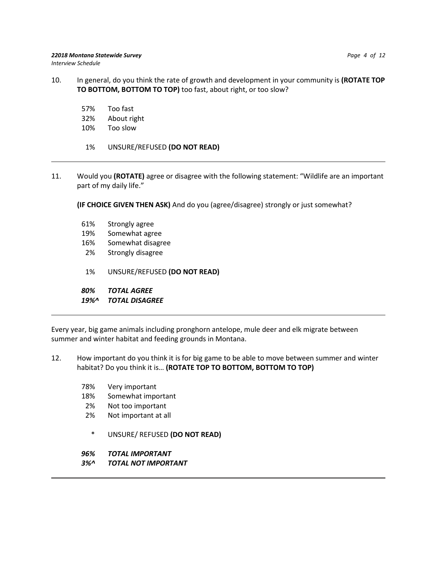- 10. In general, do you think the rate of growth and development in your community is **(ROTATE TOP TO BOTTOM, BOTTOM TO TOP)** too fast, about right, or too slow?
	- 57% Too fast
	- 32% About right
	- 10% Too slow
	- 1% UNSURE/REFUSED **(DO NOT READ)**
- 11. Would you **(ROTATE)** agree or disagree with the following statement: "Wildlife are an important part of my daily life."
	- **(IF CHOICE GIVEN THEN ASK)** And do you (agree/disagree) strongly or just somewhat?
	- 61% Strongly agree
	- 19% Somewhat agree
	- 16% Somewhat disagree
	- 2% Strongly disagree
	- 1% UNSURE/REFUSED **(DO NOT READ)**
	- *80% TOTAL AGREE*
	- *19%^ TOTAL DISAGREE*

Every year, big game animals including pronghorn antelope, mule deer and elk migrate between summer and winter habitat and feeding grounds in Montana.

- 12. How important do you think it is for big game to be able to move between summer and winter habitat? Do you think it is… **(ROTATE TOP TO BOTTOM, BOTTOM TO TOP)**
	- 78% Very important
	- 18% Somewhat important
	- 2% Not too important
	- 2% Not important at all
		- \* UNSURE/ REFUSED **(DO NOT READ)**
	- *96% TOTAL IMPORTANT*
	- *3%^ TOTAL NOT IMPORTANT*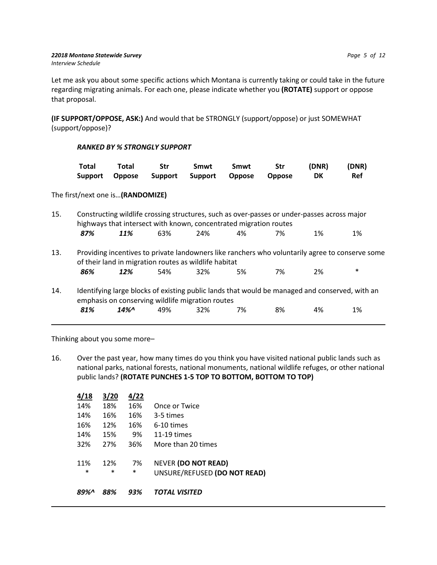Let me ask you about some specific actions which Montana is currently taking or could take in the future regarding migrating animals. For each one, please indicate whether you **(ROTATE)** support or oppose that proposal.

**(IF SUPPORT/OPPOSE, ASK:)** And would that be STRONGLY (support/oppose) or just SOMEWHAT (support/oppose)?

# *RANKED BY % STRONGLY SUPPORT*

| Total | Total                                        | <b>Str</b> | Smwt | Smwt | Str | (DNR) | (DNR) |
|-------|----------------------------------------------|------------|------|------|-----|-------|-------|
|       | Support Oppose Support Support Oppose Oppose |            |      |      |     | DK    | Ref   |

## The first/next one is…**(RANDOMIZE)**

| 15. | Constructing wildlife crossing structures, such as over-passes or under-passes across major<br>highways that intersect with known, concentrated migration routes |        |     |                                                                                                                                                                             |    |    |    |        |  |  |
|-----|------------------------------------------------------------------------------------------------------------------------------------------------------------------|--------|-----|-----------------------------------------------------------------------------------------------------------------------------------------------------------------------------|----|----|----|--------|--|--|
|     | 87%                                                                                                                                                              | 11%    | 63% | 24%                                                                                                                                                                         | 4% | 7% | 1% | 1%     |  |  |
| 13. | 86%                                                                                                                                                              | 12%    | 54% | Providing incentives to private landowners like ranchers who voluntarily agree to conserve some<br>of their land in migration routes as wildlife habitat<br>32 <sup>%</sup> | 5% | 7% | 2% | $\ast$ |  |  |
| 14. | 81%                                                                                                                                                              | $14\%$ | 49% | Identifying large blocks of existing public lands that would be managed and conserved, with an<br>emphasis on conserving wildlife migration routes<br>32%                   | 7% | 8% | 4% | 1%     |  |  |

Thinking about you some more–

16. Over the past year, how many times do you think you have visited national public lands such as national parks, national forests, national monuments, national wildlife refuges, or other national public lands? **(ROTATE PUNCHES 1-5 TOP TO BOTTOM, BOTTOM TO TOP)**

| 4/18          | 3/20          | 4/22         |                                                            |
|---------------|---------------|--------------|------------------------------------------------------------|
| 14%           | 18%           | 16%          | Once or Twice                                              |
| 14%           | 16%           | 16%          | 3-5 times                                                  |
| 16%           | 12%           | 16%          | 6-10 times                                                 |
| 14%           | 15%           | 9%           | $11-19$ times                                              |
| 32%           | 27%           | 36%          | More than 20 times                                         |
| 11%<br>$\ast$ | 12%<br>$\ast$ | 7%<br>$\ast$ | <b>NEVER (DO NOT READ)</b><br>UNSURE/REFUSED (DO NOT READ) |
| ጸዓ%           | 88%           | 93%          | TOTAL VISITED                                              |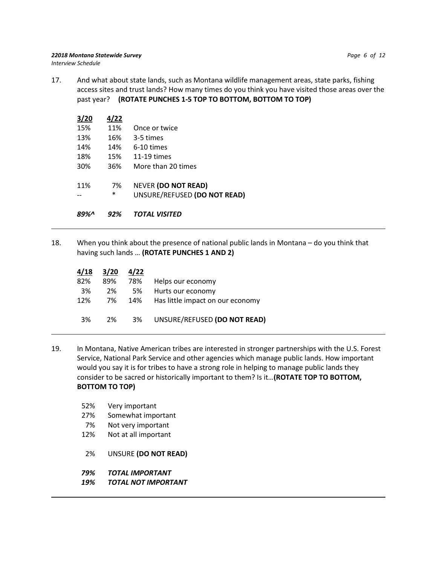17. And what about state lands, such as Montana wildlife management areas, state parks, fishing access sites and trust lands? How many times do you think you have visited those areas over the past year? **(ROTATE PUNCHES 1-5 TOP TO BOTTOM, BOTTOM TO TOP)**

| 3/20 | 4/22   |                              |
|------|--------|------------------------------|
| 15%  | 11%    | Once or twice                |
| 13%  | 16%    | 3-5 times                    |
| 14%  | 14%    | 6-10 times                   |
| 18%  | 15%    | $11-19$ times                |
| 30%  | 36%    | More than 20 times           |
| 11%  | 7%     | <b>NEVER (DO NOT READ)</b>   |
|      | $\ast$ | UNSURE/REFUSED (DO NOT READ) |
|      |        |                              |

*89%^ 92% TOTAL VISITED*

18. When you think about the presence of national public lands in Montana – do you think that having such lands … **(ROTATE PUNCHES 1 AND 2)** 

|                                      | 4/22 | 3/20 | 4/18 |
|--------------------------------------|------|------|------|
| Helps our economy                    | 78%  | 89%  | 82%  |
| Hurts our economy                    | 5%   | 2%   | 3%   |
| 14% Has little impact on our economy |      | 7%   | 12%  |
|                                      |      |      |      |
| UNSURE/REFUSED (DO NOT READ)         | 3%   | 2%   | 3%   |
|                                      |      |      |      |

- 19. In Montana, Native American tribes are interested in stronger partnerships with the U.S. Forest Service, National Park Service and other agencies which manage public lands. How important would you say it is for tribes to have a strong role in helping to manage public lands they consider to be sacred or historically important to them? Is it…**(ROTATE TOP TO BOTTOM, BOTTOM TO TOP)**
	- 52% Very important
	- 27% Somewhat important
	- 7% Not very important
	- 12% Not at all important
	- 2% UNSURE **(DO NOT READ)**
	- *79% TOTAL IMPORTANT*
	- *19% TOTAL NOT IMPORTANT*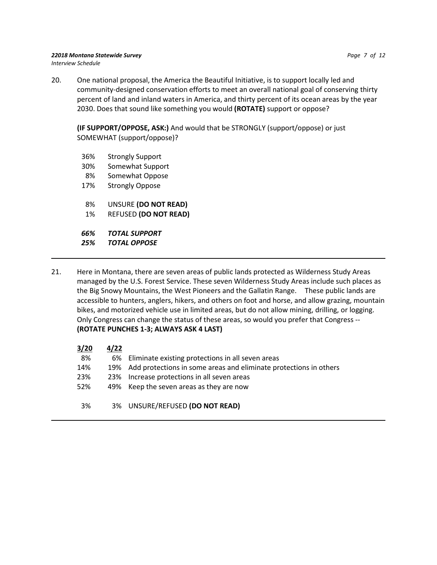#### *22018 Montana Statewide Survey Page 7 of 12 Interview Schedule*

20. One national proposal, the America the Beautiful Initiative, is to support locally led and community-designed conservation efforts to meet an overall national goal of conserving thirty percent of land and inland waters in America, and thirty percent of its ocean areas by the year 2030. Does that sound like something you would **(ROTATE)** support or oppose?

**(IF SUPPORT/OPPOSE, ASK:)** And would that be STRONGLY (support/oppose) or just SOMEWHAT (support/oppose)?

- 36% Strongly Support
- 30% Somewhat Support
- 8% Somewhat Oppose
- 17% Strongly Oppose
- 8% UNSURE **(DO NOT READ)**
- 1% REFUSED **(DO NOT READ)**

 *66% TOTAL SUPPORT*

- *25% TOTAL OPPOSE*
- 21. Here in Montana, there are seven areas of public lands protected as Wilderness Study Areas managed by the U.S. Forest Service. These seven Wilderness Study Areas include such places as the Big Snowy Mountains, the West Pioneers and the Gallatin Range. These public lands are accessible to hunters, anglers, hikers, and others on foot and horse, and allow grazing, mountain bikes, and motorized vehicle use in limited areas, but do not allow mining, drilling, or logging. Only Congress can change the status of these areas, so would you prefer that Congress -- **(ROTATE PUNCHES 1-3; ALWAYS ASK 4 LAST)**

| 3/20 | 4/22 |                                                                   |
|------|------|-------------------------------------------------------------------|
| 8%   | 6%   | Eliminate existing protections in all seven areas                 |
| 14%  | 19%  | Add protections in some areas and eliminate protections in others |
| 23%  | 23%  | Increase protections in all seven areas                           |
| 52%  |      | 49% Keep the seven areas as they are now                          |
|      |      |                                                                   |
| 3%   |      | 3% UNSURE/REFUSED (DO NOT READ)                                   |
|      |      |                                                                   |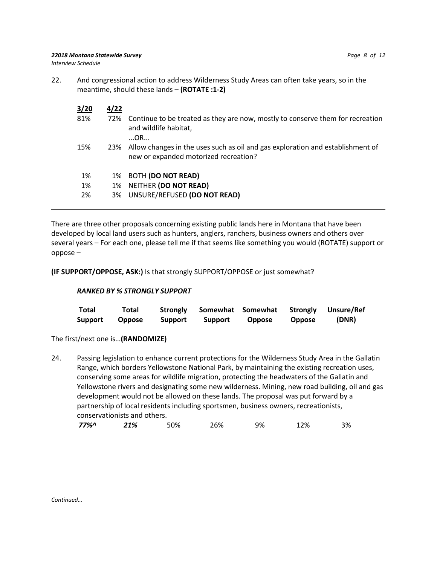*22018 Montana Statewide Survey Page 8 of 12*

*Interview Schedule*

22. And congressional action to address Wilderness Study Areas can often take years, so in the meantime, should these lands – **(ROTATE :1-2)**

| 3/20 | 4/22 |                                                                                                                             |
|------|------|-----------------------------------------------------------------------------------------------------------------------------|
| 81%  | 72%  | Continue to be treated as they are now, mostly to conserve them for recreation<br>and wildlife habitat,<br>OR               |
| 15%  |      | 23% Allow changes in the uses such as oil and gas exploration and establishment of<br>new or expanded motorized recreation? |
| 1%   |      | 1% BOTH (DO NOT READ)                                                                                                       |
| 1%   | 1%   | NEITHER (DO NOT READ)                                                                                                       |
| 2%   | 3%   | UNSURE/REFUSED (DO NOT READ)                                                                                                |

There are three other proposals concerning existing public lands here in Montana that have been developed by local land users such as hunters, anglers, ranchers, business owners and others over several years – For each one, please tell me if that seems like something you would (ROTATE) support or oppose –

**(IF SUPPORT/OPPOSE, ASK:)** Is that strongly SUPPORT/OPPOSE or just somewhat?

## *RANKED BY % STRONGLY SUPPORT*

| Total   | <b>Total</b> | Strongly |         |        |               | Somewhat Somewhat Strongly Unsure/Ref |
|---------|--------------|----------|---------|--------|---------------|---------------------------------------|
| Support | Oppose       | Support  | Support | Oppose | <b>Oppose</b> | (DNR)                                 |

## The first/next one is…**(RANDOMIZE)**

24. Passing legislation to enhance current protections for the Wilderness Study Area in the Gallatin Range, which borders Yellowstone National Park, by maintaining the existing recreation uses, conserving some areas for wildlife migration, protecting the headwaters of the Gallatin and Yellowstone rivers and designating some new wilderness. Mining, new road building, oil and gas development would not be allowed on these lands. The proposal was put forward by a partnership of local residents including sportsmen, business owners, recreationists, conservationists and others.

| 77%^ | 21% | 50% | 26% | 9% | ۔2% | 3% |
|------|-----|-----|-----|----|-----|----|
|------|-----|-----|-----|----|-----|----|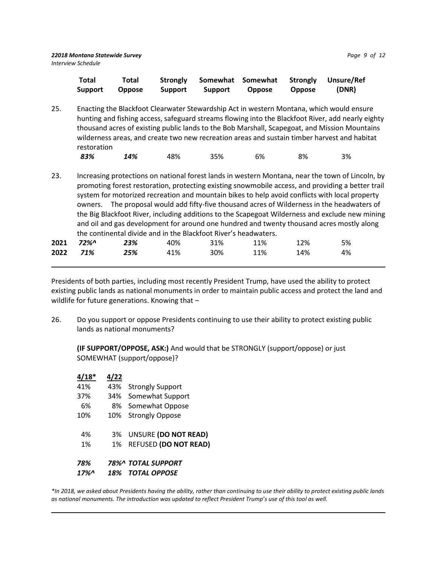|     | Total<br>Support | Total<br><b>Oppose</b> | <b>Strongly</b><br><b>Support</b> | Somewhat<br><b>Support</b> | Somewhat<br><b>Oppose</b> | <b>Strongly</b><br><b>Oppose</b> | Unsure/Ref<br>(DNR)                                                                                                                                                                                                                                                                                                                                                                            |  |
|-----|------------------|------------------------|-----------------------------------|----------------------------|---------------------------|----------------------------------|------------------------------------------------------------------------------------------------------------------------------------------------------------------------------------------------------------------------------------------------------------------------------------------------------------------------------------------------------------------------------------------------|--|
| 25. | restoration      |                        |                                   |                            |                           |                                  | Enacting the Blackfoot Clearwater Stewardship Act in western Montana, which would ensure<br>hunting and fishing access, safeguard streams flowing into the Blackfoot River, add nearly eighty<br>thousand acres of existing public lands to the Bob Marshall, Scapegoat, and Mission Mountains<br>wilderness areas, and create two new recreation areas and sustain timber harvest and habitat |  |

| 83% | 14% | 48% | 35% | 6% | 8% | 3% |
|-----|-----|-----|-----|----|----|----|
|     |     |     |     |    |    |    |

23. Increasing protections on national forest lands in western Montana, near the town of Lincoln, by promoting forest restoration, protecting existing snowmobile access, and providing a better trail system for motorized recreation and mountain bikes to help avoid conflicts with local property owners. The proposal would add fifty-five thousand acres of Wilderness in the headwaters of the Big Blackfoot River, including additions to the Scapegoat Wilderness and exclude new mining and oil and gas development for around one hundred and twenty thousand acres mostly along the continental divide and in the Blackfoot River's headwaters.

| $2021$ $72\%$ $23\%$ | 40% 31% |     | 11% | 12% | 5% |
|----------------------|---------|-----|-----|-----|----|
| 2022 71% 25%         | 41%     | 30% | 11% | 14% | 4% |

Presidents of both parties, including most recently President Trump, have used the ability to protect existing public lands as national monuments in order to maintain public access and protect the land and wildlife for future generations. Knowing that -

26. Do you support or oppose Presidents continuing to use their ability to protect existing public lands as national monuments?

**(IF SUPPORT/OPPOSE, ASK:)** And would that be STRONGLY (support/oppose) or just SOMEWHAT (support/oppose)?

| $4/18*$ | 4/22 |                              |
|---------|------|------------------------------|
| 41%     | 43%  | <b>Strongly Support</b>      |
| 37%     | 34%  | Somewhat Support             |
| 6%      |      | 8% Somewhat Oppose           |
| 10%     | 10%  | <b>Strongly Oppose</b>       |
| 4%      | 3%   | UNSURE (DO NOT READ)         |
| 1%      | 1%   | <b>REFUSED (DO NOT READ)</b> |
| 78%     |      | 78%^ TOTAL SUPPORT           |
| 17%     | 18%  | <b>TOTAL OPPOSE</b>          |

*\*In 2018, we asked about Presidents having the ability, rather than continuing to use their ability to protect existing public lands as national monuments. The introduction was updated to reflect President Trump's use of this tool as well.*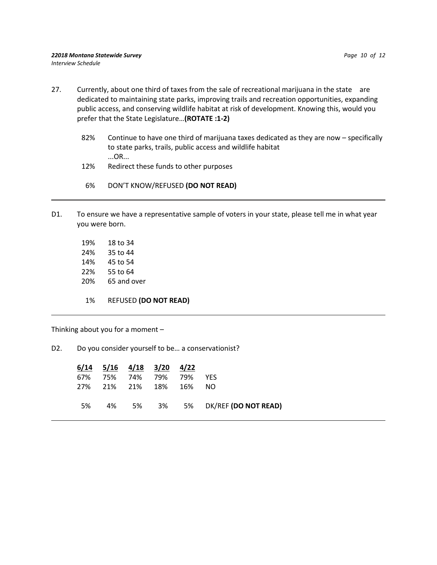- 27. Currently, about one third of taxes from the sale of recreational marijuana in the state are dedicated to maintaining state parks, improving trails and recreation opportunities, expanding public access, and conserving wildlife habitat at risk of development. Knowing this, would you prefer that the State Legislature…**(ROTATE :1-2)**
	- 82% Continue to have one third of marijuana taxes dedicated as they are now specifically to state parks, trails, public access and wildlife habitat ...OR...
	- 12% Redirect these funds to other purposes
	- 6% DON'T KNOW/REFUSED **(DO NOT READ)**
- D1. To ensure we have a representative sample of voters in your state, please tell me in what year you were born.

 19% 18 to 34 24% 35 to 44 14% 45 to 54 22% 55 to 64 20% 65 and over 1% REFUSED **(DO NOT READ)**

Thinking about you for a moment –

D2. Do you consider yourself to be... a conservationist?

|     |    |             | $6/14$ $5/16$ $4/18$ $3/20$ $4/22$ |     |                               |
|-----|----|-------------|------------------------------------|-----|-------------------------------|
| 67% |    | 75% 74% 79% |                                    | 79% | <b>YFS</b>                    |
|     |    |             | 27% 21% 21% 18% 16%                |     | NO.                           |
|     |    |             |                                    |     |                               |
| .5% | 4% |             |                                    |     | 5% 3% 5% DK/REF (DO NOT READ) |
|     |    |             |                                    |     |                               |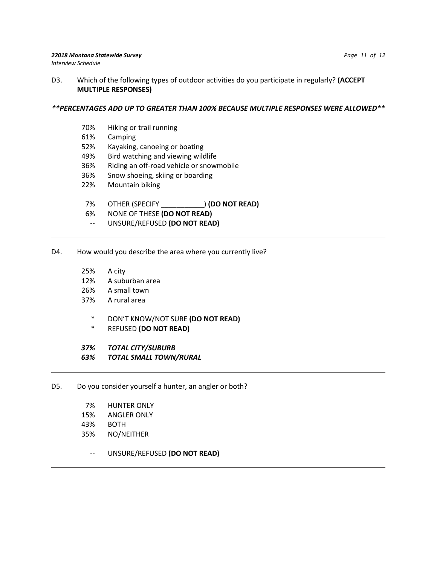D3. Which of the following types of outdoor activities do you participate in regularly? **(ACCEPT MULTIPLE RESPONSES)** 

#### *\*\*PERCENTAGES ADD UP TO GREATER THAN 100% BECAUSE MULTIPLE RESPONSES WERE ALLOWED\*\**

- 70% Hiking or trail running
- 61% Camping
- 52% Kayaking, canoeing or boating
- 49% Bird watching and viewing wildlife
- 36% Riding an off-road vehicle or snowmobile
- 36% Snow shoeing, skiing or boarding
- 22% Mountain biking
- 7% OTHER (SPECIFY \_\_\_\_\_\_\_\_\_\_\_) **(DO NOT READ)**
- 6% NONE OF THESE **(DO NOT READ)**
- -- UNSURE/REFUSED **(DO NOT READ)**

#### D4. How would you describe the area where you currently live?

- 25% A city
- 12% A suburban area
- 26% A small town
- 37% A rural area
	- \* DON'T KNOW/NOT SURE **(DO NOT READ)**
	- \* REFUSED **(DO NOT READ)**

#### *37% TOTAL CITY/SUBURB*

- *63% TOTAL SMALL TOWN/RURAL*
- D5. Do you consider yourself a hunter, an angler or both?
	- 7% HUNTER ONLY
	- 15% ANGLER ONLY
	- 43% BOTH
	- 35% NO/NEITHER
		- -- UNSURE/REFUSED **(DO NOT READ)**